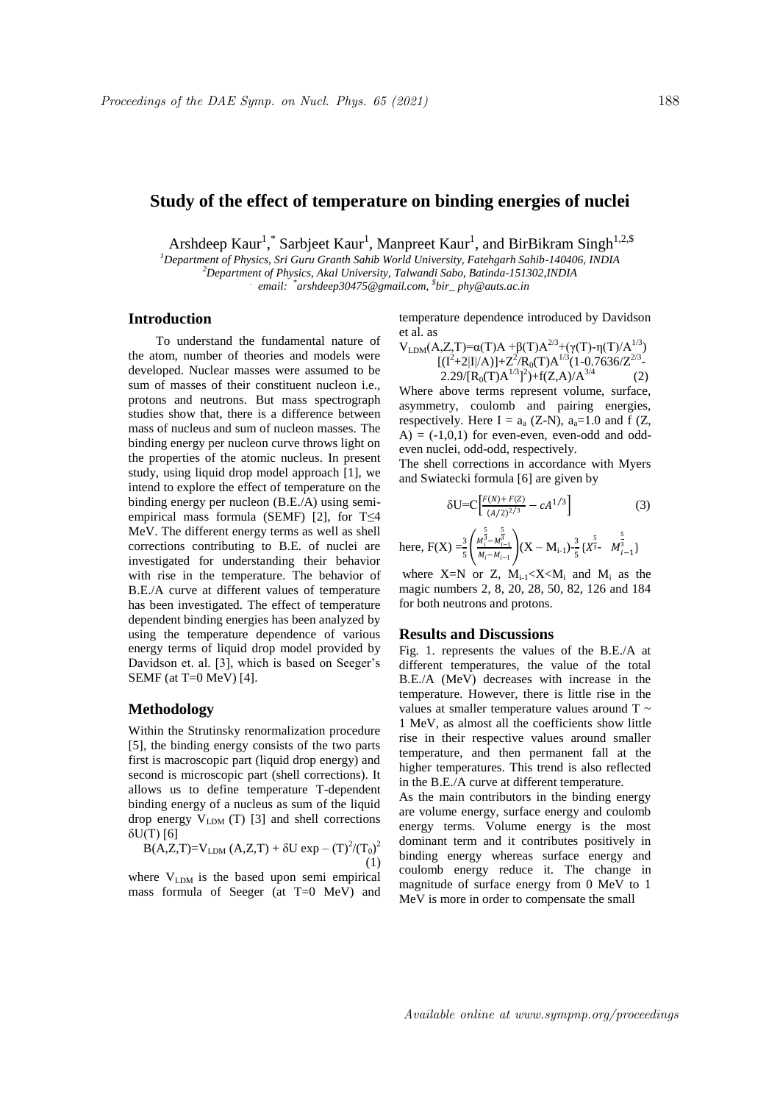# **Study of the effect of temperature on binding energies of nuclei**

Arshdeep Kaur<sup>1</sup>, \* Sarbjeet Kaur<sup>1</sup>, Manpreet Kaur<sup>1</sup>, and BirBikram Singh<sup>1,2,\$</sup>

*<sup>1</sup>Department of Physics, Sri Guru Granth Sahib World University, Fatehgarh Sahib-140406, INDIA <sup>2</sup>Department of Physics, Akal University, Talwandi Sabo, Batinda-151302,INDIA . email: \* arshdeep30475@gmail.com, \$ bir\_ phy@auts.ac.in*

### **Introduction**

To understand the fundamental nature of the atom, number of theories and models were developed. Nuclear masses were assumed to be sum of masses of their constituent nucleon i.e., protons and neutrons. But mass spectrograph studies show that, there is a difference between mass of nucleus and sum of nucleon masses. The binding energy per nucleon curve throws light on the properties of the atomic nucleus. In present study, using liquid drop model approach [1], we intend to explore the effect of temperature on the binding energy per nucleon (B.E./A) using semiempirical mass formula (SEMF) [2], for  $T \leq 4$ MeV. The different energy terms as well as shell corrections contributing to B.E. of nuclei are investigated for understanding their behavior with rise in the temperature. The behavior of B.E./A curve at different values of temperature has been investigated. The effect of temperature dependent binding energies has been analyzed by using the temperature dependence of various energy terms of liquid drop model provided by Davidson et. al. [3], which is based on Seeger's SEMF (at T=0 MeV) [4].

### **Methodology**

Within the Strutinsky renormalization procedure [5], the binding energy consists of the two parts first is macroscopic part (liquid drop energy) and second is microscopic part (shell corrections). It allows us to define temperature T-dependent binding energy of a nucleus as sum of the liquid drop energy  $V_{LDM}$  (T) [3] and shell corrections δU(T) [6]

$$
B(A,Z,T)=V_{LDM}(A,Z,T)+\delta U \exp - (T)^2/(T_0)^2
$$
\n(1)

where  $V_{LDM}$  is the based upon semi empirical mass formula of Seeger (at T=0 MeV) and temperature dependence introduced by Davidson et al. as

$$
V_{LDM}(A, Z, T) = \alpha(T)A + \beta(T)A^{2/3} + (\gamma(T) - \eta(T)/A^{1/3})
$$
  
\n
$$
[(I^{2} + 2|I|/A)] + Z^{2}/R_{0}(T)A^{1/3}(1 - 0.7636/Z^{2/3})
$$
  
\n
$$
2.29/[R_{0}(T)A^{1/3}]^{2}) + f(Z, A)/A^{3/4}
$$
 (2)

Where above terms represent volume, surface, asymmetry, coulomb and pairing energies, respectively. Here I =  $a_a$  (Z-N),  $a_a=1.0$  and f (Z,  $A$ ) = (-1,0,1) for even-even, even-odd and oddeven nuclei, odd-odd, respectively.

The shell corrections in accordance with Myers and Swiatecki formula [6] are given by

$$
\delta U = C \Big[ \frac{F(N) + F(Z)}{(A/2)^{2/3}} - cA^{1/3} \Big] \tag{3}
$$

here, 
$$
F(X) = \frac{3}{5} \left( \frac{M_i^{\frac{5}{3}} - M_{i-1}^{\frac{5}{3}}}{M_i - M_{i-1}} \right) (X - M_{i-1}) - \frac{3}{5} \{ X^{\frac{5}{3}} - M_{i-1}^{\frac{5}{3}} \}
$$

where  $X=N$  or Z,  $M_{i-1} < X < M_i$  and  $M_i$  as the magic numbers 2, 8, 20, 28, 50, 82, 126 and 184 for both neutrons and protons.

#### **Results and Discussions**

Fig. 1. represents the values of the B.E./A at different temperatures, the value of the total B.E./A (MeV) decreases with increase in the temperature. However, there is little rise in the values at smaller temperature values around T ~ 1 MeV, as almost all the coefficients show little rise in their respective values around smaller temperature, and then permanent fall at the higher temperatures. This trend is also reflected in the B.E./A curve at different temperature.

As the main contributors in the binding energy are volume energy, surface energy and coulomb energy terms. Volume energy is the most dominant term and it contributes positively in binding energy whereas surface energy and coulomb energy reduce it. The change in magnitude of surface energy from 0 MeV to 1 MeV is more in order to compensate the small